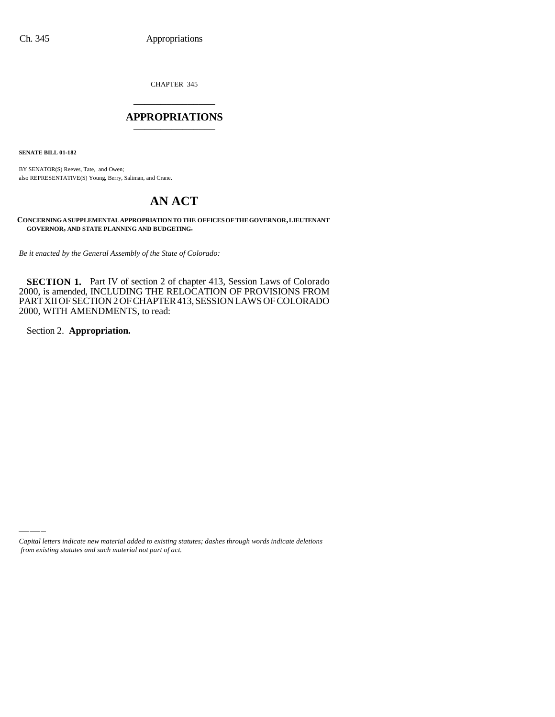CHAPTER 345 \_\_\_\_\_\_\_\_\_\_\_\_\_\_\_

#### **APPROPRIATIONS** \_\_\_\_\_\_\_\_\_\_\_\_\_\_\_

**SENATE BILL 01-182**

BY SENATOR(S) Reeves, Tate, and Owen; also REPRESENTATIVE(S) Young, Berry, Saliman, and Crane.

# **AN ACT**

**CONCERNING A SUPPLEMENTAL APPROPRIATION TO THE OFFICES OF THE GOVERNOR, LIEUTENANT GOVERNOR, AND STATE PLANNING AND BUDGETING.**

*Be it enacted by the General Assembly of the State of Colorado:*

**SECTION 1.** Part IV of section 2 of chapter 413, Session Laws of Colorado 2000, is amended, INCLUDING THE RELOCATION OF PROVISIONS FROM PART XII OF SECTION 2 OF CHAPTER 413, SESSION LAWS OF COLORADO 2000, WITH AMENDMENTS, to read:

Section 2. **Appropriation.**

*Capital letters indicate new material added to existing statutes; dashes through words indicate deletions from existing statutes and such material not part of act.*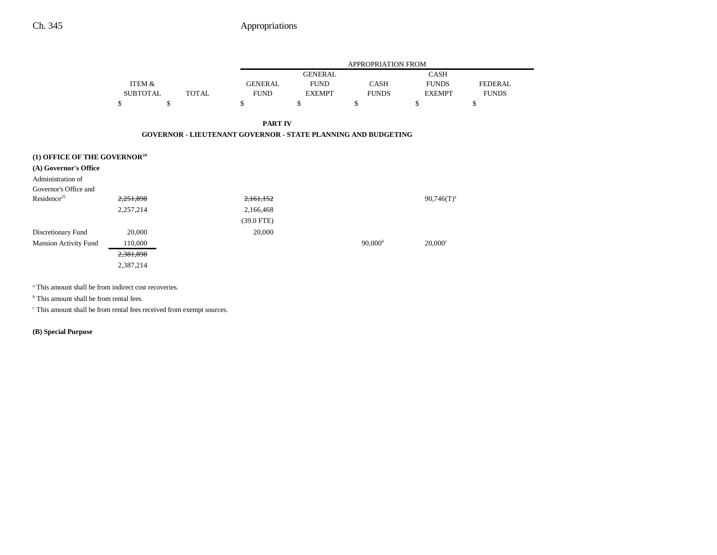|                                          |                 |                                                                      |                |                | APPROPRIATION FROM  |                       |                |
|------------------------------------------|-----------------|----------------------------------------------------------------------|----------------|----------------|---------------------|-----------------------|----------------|
|                                          |                 |                                                                      |                | <b>GENERAL</b> |                     | <b>CASH</b>           |                |
|                                          | ITEM &          |                                                                      | <b>GENERAL</b> | <b>FUND</b>    | <b>CASH</b>         | <b>FUNDS</b>          | <b>FEDERAL</b> |
|                                          | <b>SUBTOTAL</b> | <b>TOTAL</b>                                                         | <b>FUND</b>    | <b>EXEMPT</b>  | <b>FUNDS</b>        | <b>EXEMPT</b>         | <b>FUNDS</b>   |
|                                          | \$              | \$                                                                   | \$             | \$             | \$                  | \$                    | \$             |
|                                          |                 |                                                                      | <b>PART IV</b> |                |                     |                       |                |
|                                          |                 | <b>GOVERNOR - LIEUTENANT GOVERNOR - STATE PLANNING AND BUDGETING</b> |                |                |                     |                       |                |
| (1) OFFICE OF THE GOVERNOR <sup>24</sup> |                 |                                                                      |                |                |                     |                       |                |
| (A) Governor's Office                    |                 |                                                                      |                |                |                     |                       |                |
| Administration of                        |                 |                                                                      |                |                |                     |                       |                |
| Governor's Office and                    |                 |                                                                      |                |                |                     |                       |                |
| Residence <sup>25</sup>                  | 2,251,898       |                                                                      | 2,161,152      |                |                     | $90,746(T)^{a}$       |                |
|                                          | 2,257,214       |                                                                      | 2,166,468      |                |                     |                       |                |
|                                          |                 |                                                                      | $(39.0$ FTE)   |                |                     |                       |                |
| Discretionary Fund                       | 20,000          |                                                                      | 20,000         |                |                     |                       |                |
| <b>Mansion Activity Fund</b>             | 110,000         |                                                                      |                |                | 90,000 <sup>b</sup> | $20,000$ <sup>c</sup> |                |
|                                          | 2,381,898       |                                                                      |                |                |                     |                       |                |
|                                          | 2,387,214       |                                                                      |                |                |                     |                       |                |
|                                          |                 |                                                                      |                |                |                     |                       |                |

<sup>a</sup> This amount shall be from indirect cost recoveries.

<sup>b</sup> This amount shall be from rental fees.

c This amount shall be from rental fees received from exempt sources.

**(B) Special Purpose**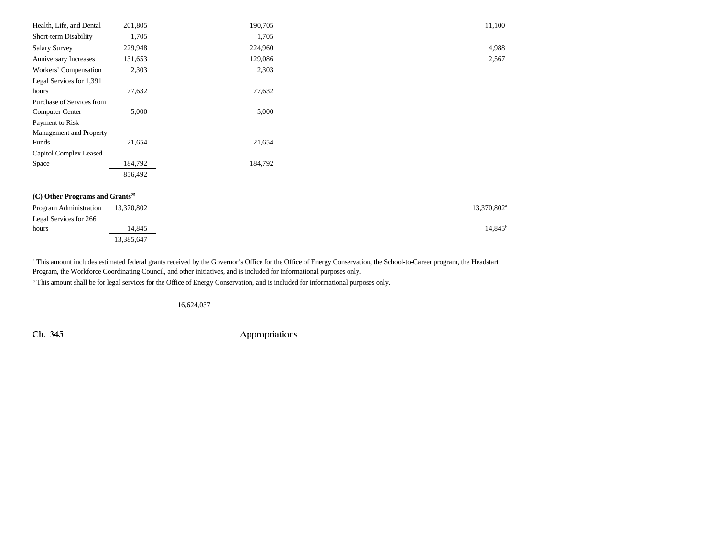| Health, Life, and Dental                    | 201,805    | 190,705 | 11,100                  |
|---------------------------------------------|------------|---------|-------------------------|
| Short-term Disability                       | 1,705      | 1,705   |                         |
| Salary Survey                               | 229,948    | 224,960 | 4,988                   |
| Anniversary Increases                       | 131,653    | 129,086 | 2,567                   |
| Workers' Compensation                       | 2,303      | 2,303   |                         |
| Legal Services for 1,391                    |            |         |                         |
| hours                                       | 77,632     | 77,632  |                         |
| Purchase of Services from                   |            |         |                         |
| Computer Center                             | 5,000      | 5,000   |                         |
| Payment to Risk                             |            |         |                         |
| Management and Property                     |            |         |                         |
| Funds                                       | 21,654     | 21,654  |                         |
| Capitol Complex Leased                      |            |         |                         |
| Space                                       | 184,792    | 184,792 |                         |
|                                             | 856,492    |         |                         |
| (C) Other Programs and Grants <sup>25</sup> |            |         |                         |
|                                             |            |         |                         |
| Program Administration                      | 13,370,802 |         | 13,370,802 <sup>a</sup> |
| Legal Services for 266                      |            |         |                         |
| hours                                       | 14,845     |         | $14,845^{\rm b}$        |
|                                             | 13,385,647 |         |                         |

<sup>a</sup> This amount includes estimated federal grants received by the Governor's Office for the Office of Energy Conservation, the School-to-Career program, the Headstart Program, the Workforce Coordinating Council, and other initiatives, and is included for informational purposes only.

b This amount shall be for legal services for the Office of Energy Conservation, and is included for informational purposes only.

16,624,037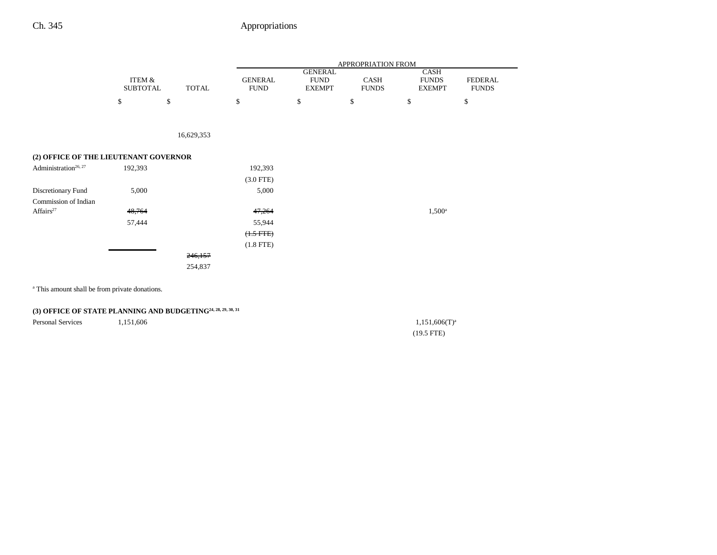|                                       |                           |              |                               |                                                | APPROPRIATION FROM   |                                              |                                |
|---------------------------------------|---------------------------|--------------|-------------------------------|------------------------------------------------|----------------------|----------------------------------------------|--------------------------------|
|                                       | ITEM &<br><b>SUBTOTAL</b> | <b>TOTAL</b> | <b>GENERAL</b><br><b>FUND</b> | <b>GENERAL</b><br><b>FUND</b><br><b>EXEMPT</b> | CASH<br><b>FUNDS</b> | <b>CASH</b><br><b>FUNDS</b><br><b>EXEMPT</b> | <b>FEDERAL</b><br><b>FUNDS</b> |
|                                       | \$                        | \$           | \$                            | \$                                             | \$                   | \$                                           | \$                             |
|                                       |                           |              |                               |                                                |                      |                                              |                                |
|                                       |                           | 16,629,353   |                               |                                                |                      |                                              |                                |
| (2) OFFICE OF THE LIEUTENANT GOVERNOR |                           |              |                               |                                                |                      |                                              |                                |
| Administration <sup>26, 27</sup>      | 192,393                   |              | 192,393                       |                                                |                      |                                              |                                |
|                                       |                           |              | $(3.0$ FTE)                   |                                                |                      |                                              |                                |
| Discretionary Fund                    | 5,000                     |              | 5,000                         |                                                |                      |                                              |                                |
| Commission of Indian                  |                           |              |                               |                                                |                      |                                              |                                |
| Affairs <sup>27</sup>                 | 48,764                    |              | 47,264                        |                                                |                      | $1,500^{\rm a}$                              |                                |
|                                       | 57,444                    |              | 55,944                        |                                                |                      |                                              |                                |
|                                       |                           |              | $(1.5 FTE)$                   |                                                |                      |                                              |                                |
|                                       |                           |              | $(1.8$ FTE)                   |                                                |                      |                                              |                                |
|                                       |                           | 246,157      |                               |                                                |                      |                                              |                                |
|                                       |                           | 254,837      |                               |                                                |                      |                                              |                                |
|                                       |                           |              |                               |                                                |                      |                                              |                                |

<sup>a</sup> This amount shall be from private donations.

### **(3) OFFICE OF STATE PLANNING AND BUDGETING24, 28, 29, 30, 31**

Personal Services 1,151,606 1,151,606 1,151,606 1,151,606 1,151,606 1,151,606 1,151,606 1,151,606 1,151,606 1,151,606 1,151,606 1,151,606 1,151,606 1,151,606 1,151,606 1,151,606 1,151,606 1,151,606 1,151,606 1,151,606 1,15

(19.5 FTE)

 $\overline{\phantom{0}}$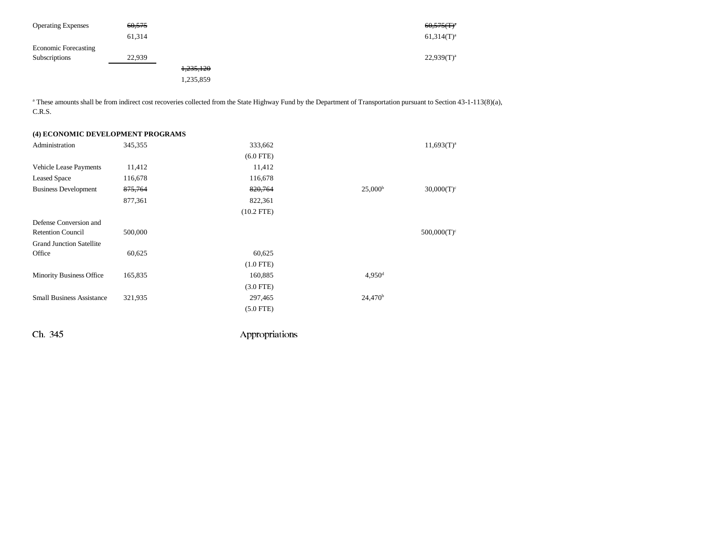| <b>Operating Expenses</b>   | 60,575 |           |  | $60,575$ (T) <sup>a</sup> |
|-----------------------------|--------|-----------|--|---------------------------|
|                             | 61,314 |           |  | $61,314(T)^a$             |
| <b>Economic Forecasting</b> |        |           |  |                           |
| Subscriptions               | 22,939 |           |  | $22,939(T)^a$             |
|                             |        | 1,235,120 |  |                           |
|                             |        | 1,235,859 |  |                           |

<sup>a</sup> These amounts shall be from indirect cost recoveries collected from the State Highway Fund by the Department of Transportation pursuant to Section 43-1-113(8)(a), C.R.S.

| (4) ECONOMIC DEVELOPMENT PROGRAMS |         |                |                      |                 |
|-----------------------------------|---------|----------------|----------------------|-----------------|
| Administration                    | 345,355 | 333,662        |                      | $11,693(T)^{a}$ |
|                                   |         | $(6.0$ FTE)    |                      |                 |
| Vehicle Lease Payments            | 11,412  | 11,412         |                      |                 |
| <b>Leased Space</b>               | 116,678 | 116,678        |                      |                 |
| <b>Business Development</b>       | 875,764 | 820,764        | 25,000 <sup>b</sup>  | $30,000(T)^c$   |
|                                   | 877,361 | 822,361        |                      |                 |
|                                   |         | $(10.2$ FTE)   |                      |                 |
| Defense Conversion and            |         |                |                      |                 |
| <b>Retention Council</b>          | 500,000 |                |                      | $500,000(T)^c$  |
| <b>Grand Junction Satellite</b>   |         |                |                      |                 |
| Office                            | 60,625  | 60,625         |                      |                 |
|                                   |         | $(1.0$ FTE)    |                      |                 |
| <b>Minority Business Office</b>   | 165,835 | 160,885        | $4,950$ <sup>d</sup> |                 |
|                                   |         | $(3.0$ FTE)    |                      |                 |
| <b>Small Business Assistance</b>  | 321,935 | 297,465        | 24,470 <sup>b</sup>  |                 |
|                                   |         | $(5.0$ FTE)    |                      |                 |
| Ch. 345                           |         | Appropriations |                      |                 |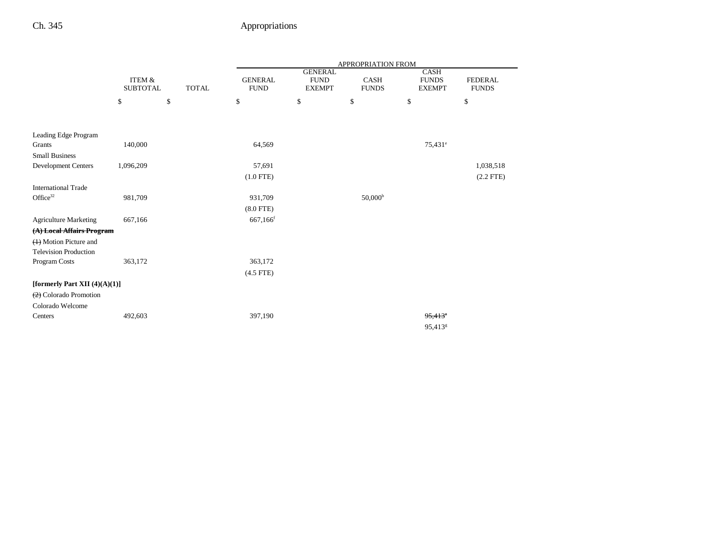|                                               |                                                      |    | APPROPRIATION FROM            |                                                |                      |                                       |                                |  |
|-----------------------------------------------|------------------------------------------------------|----|-------------------------------|------------------------------------------------|----------------------|---------------------------------------|--------------------------------|--|
|                                               | <b>ITEM &amp;</b><br><b>TOTAL</b><br><b>SUBTOTAL</b> |    | <b>GENERAL</b><br><b>FUND</b> | <b>GENERAL</b><br><b>FUND</b><br><b>EXEMPT</b> | CASH<br><b>FUNDS</b> | CASH<br><b>FUNDS</b><br><b>EXEMPT</b> | <b>FEDERAL</b><br><b>FUNDS</b> |  |
|                                               | \$                                                   | \$ | \$                            | \$                                             | \$                   | \$                                    | \$                             |  |
|                                               |                                                      |    |                               |                                                |                      |                                       |                                |  |
|                                               |                                                      |    |                               |                                                |                      |                                       |                                |  |
| Leading Edge Program                          |                                                      |    |                               |                                                |                      |                                       |                                |  |
| Grants                                        | 140,000                                              |    | 64,569                        |                                                |                      | 75,431 <sup>e</sup>                   |                                |  |
| <b>Small Business</b>                         |                                                      |    |                               |                                                |                      |                                       |                                |  |
| <b>Development Centers</b>                    | 1,096,209                                            |    | 57,691                        |                                                |                      |                                       | 1,038,518                      |  |
|                                               |                                                      |    | $(1.0$ FTE)                   |                                                |                      |                                       | $(2.2$ FTE)                    |  |
| <b>International Trade</b>                    |                                                      |    |                               |                                                |                      |                                       |                                |  |
| Office $32$                                   | 981,709                                              |    | 931,709                       |                                                | 50,000 <sup>b</sup>  |                                       |                                |  |
|                                               |                                                      |    | $(8.0$ FTE)                   |                                                |                      |                                       |                                |  |
| <b>Agriculture Marketing</b>                  | 667,166                                              |    | 667,166 <sup>f</sup>          |                                                |                      |                                       |                                |  |
| (A) Local Affairs Program                     |                                                      |    |                               |                                                |                      |                                       |                                |  |
| (1) Motion Picture and                        |                                                      |    |                               |                                                |                      |                                       |                                |  |
| <b>Television Production</b>                  |                                                      |    |                               |                                                |                      |                                       |                                |  |
| Program Costs                                 | 363,172                                              |    | 363,172                       |                                                |                      |                                       |                                |  |
|                                               |                                                      |    | $(4.5$ FTE)                   |                                                |                      |                                       |                                |  |
| [formerly Part XII $(4)(A)(1)$ ]              |                                                      |    |                               |                                                |                      |                                       |                                |  |
| $\left(\frac{2}{2}\right)$ Colorado Promotion |                                                      |    |                               |                                                |                      |                                       |                                |  |
| Colorado Welcome                              |                                                      |    |                               |                                                |                      |                                       |                                |  |
| Centers                                       | 492,603                                              |    | 397,190                       |                                                |                      | $95,413$ <sup>*</sup>                 |                                |  |
|                                               |                                                      |    |                               |                                                |                      | 95,413 <sup>g</sup>                   |                                |  |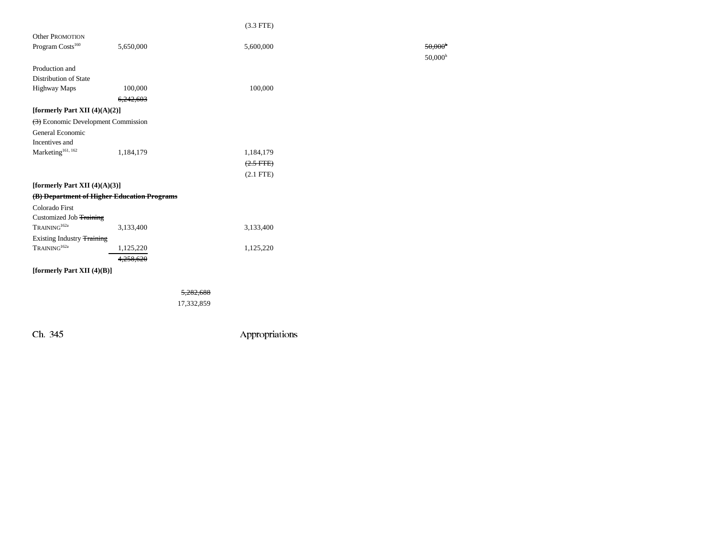|                                                            |           | $(3.3$ FTE)    |                       |
|------------------------------------------------------------|-----------|----------------|-----------------------|
| <b>Other PROMOTION</b>                                     |           |                |                       |
| Program Costs <sup>160</sup>                               | 5,650,000 | 5,600,000      | $50,000$ <sup>t</sup> |
|                                                            |           |                | $50,000^{\text{h}}$   |
| Production and                                             |           |                |                       |
| Distribution of State                                      |           |                |                       |
| <b>Highway Maps</b>                                        | 100,000   | 100,000        |                       |
|                                                            | 6,242,603 |                |                       |
| [formerly Part XII $(4)(A)(2)$ ]                           |           |                |                       |
| $\left(\frac{1}{2}\right)$ Economic Development Commission |           |                |                       |
| General Economic                                           |           |                |                       |
| Incentives and                                             |           |                |                       |
| Marketing <sup>161, 162</sup>                              | 1,184,179 | 1,184,179      |                       |
|                                                            |           | $(2.5$ FTE $)$ |                       |
|                                                            |           | $(2.1$ FTE)    |                       |
| [formerly Part XII $(4)(A)(3)$ ]                           |           |                |                       |
| (B) Department of Higher Education Programs                |           |                |                       |
| Colorado First                                             |           |                |                       |
| Customized Job Training                                    |           |                |                       |
| TRAINING <sup>162a</sup>                                   | 3,133,400 | 3,133,400      |                       |
| Existing Industry Training                                 |           |                |                       |
| TRAINING <sup>162a</sup>                                   | 1,125,220 | 1,125,220      |                       |
|                                                            | 4,258,620 |                |                       |
| [formerly Part XII $(4)(B)$ ]                              |           |                |                       |
|                                                            |           | 5,282,688      |                       |
|                                                            |           | 17,332,859     |                       |
|                                                            |           |                |                       |

 $50,000$ <sup>h</sup>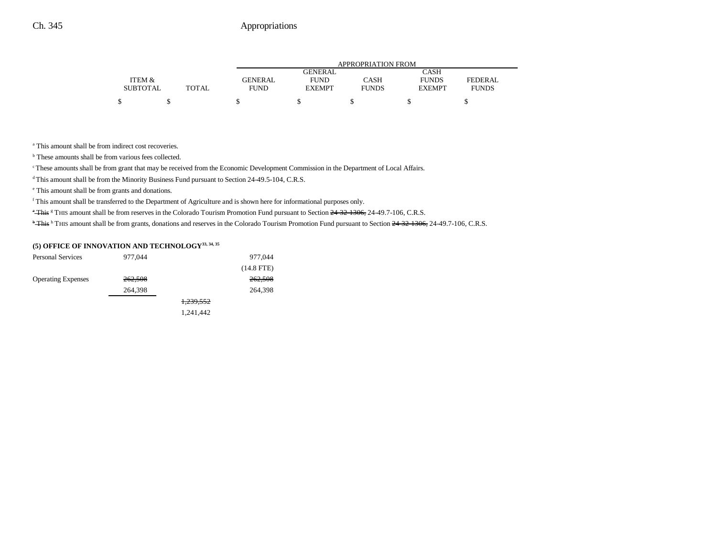|                 |       | APPROPRIATION FROM |                |              |               |                |  |  |
|-----------------|-------|--------------------|----------------|--------------|---------------|----------------|--|--|
|                 |       |                    | <b>GENERAL</b> |              | <b>CASH</b>   |                |  |  |
| ITEM &          |       | <b>GENERAL</b>     | <b>FUND</b>    | CASH         | <b>FUNDS</b>  | <b>FEDERAL</b> |  |  |
| <b>SUBTOTAL</b> | TOTAL | <b>FUND</b>        | <b>EXEMPT</b>  | <b>FUNDS</b> | <b>EXEMPT</b> | <b>FUNDS</b>   |  |  |
|                 |       |                    |                |              |               |                |  |  |

<sup>a</sup> This amount shall be from indirect cost recoveries.

<sup>b</sup> These amounts shall be from various fees collected.

<sup>c</sup> These amounts shall be from grant that may be received from the Economic Development Commission in the Department of Local Affairs.

d This amount shall be from the Minority Business Fund pursuant to Section 24-49.5-104, C.R.S.

e This amount shall be from grants and donations.

f This amount shall be transferred to the Department of Agriculture and is shown here for informational purposes only.

<sup>a</sup> This <sup>g</sup> THIS amount shall be from reserves in the Colorado Tourism Promotion Fund pursuant to Section <del>24-32-1306,</del> 24-49.7-106, C.R.S.

<sup>b</sup> This <sup>h</sup> THIS amount shall be from grants, donations and reserves in the Colorado Tourism Promotion Fund pursuant to Section 24-32-1306, 24-49.7-106, C.R.S.

#### **(5) OFFICE OF INNOVATION AND TECHNOLOGY33, 34, 35**

| <b>Personal Services</b>  | 977,044 |           | 977,044      |
|---------------------------|---------|-----------|--------------|
|                           |         |           | $(14.8$ FTE) |
| <b>Operating Expenses</b> | 262,508 |           | 262,508      |
|                           | 264,398 |           | 264,398      |
|                           |         | 1,239,552 |              |
|                           |         | 1,241,442 |              |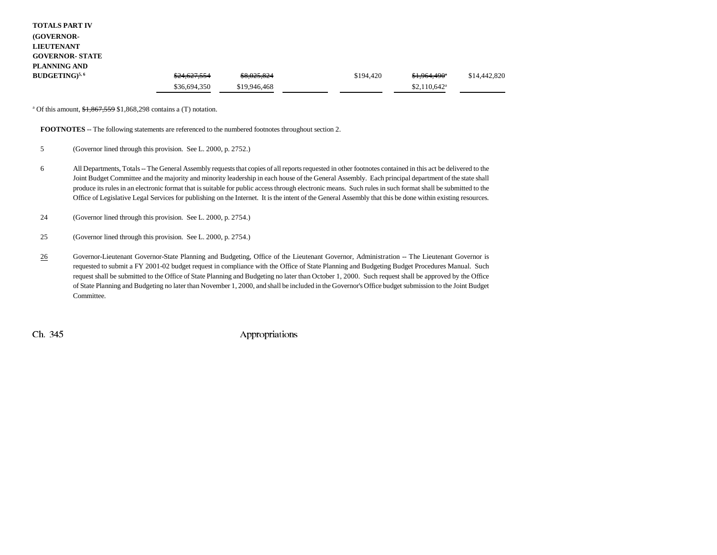| <b>TOTALS PART IV</b>  |              |              |           |                                     |              |
|------------------------|--------------|--------------|-----------|-------------------------------------|--------------|
| (GOVERNOR-             |              |              |           |                                     |              |
| <b>LIEUTENANT</b>      |              |              |           |                                     |              |
| <b>GOVERNOR- STATE</b> |              |              |           |                                     |              |
| PLANNING AND           |              |              |           |                                     |              |
| $BUDGETING)^{5,6}$     | \$24,627,554 | \$8,025,824  | \$194,420 | <del>\$1,964,490</del> <sup>*</sup> | \$14,442,820 |
|                        | \$36,694,350 | \$19,946,468 |           | $$2,110,642$ <sup>a</sup>           |              |

<sup>a</sup> Of this amount,  $$1,867,559$   $$1,868,298$  contains a (T) notation.

**FOOTNOTES** -- The following statements are referenced to the numbered footnotes throughout section 2.

- 5 (Governor lined through this provision. See L. 2000, p. 2752.)
- 6 All Departments, Totals -- The General Assembly requests that copies of all reports requested in other footnotes contained in this act be delivered to the Joint Budget Committee and the majority and minority leadership in each house of the General Assembly. Each principal department of the state shall produce its rules in an electronic format that is suitable for public access through electronic means. Such rules in such format shall be submitted to the Office of Legislative Legal Services for publishing on the Internet. It is the intent of the General Assembly that this be done within existing resources.
- 24 (Governor lined through this provision. See L. 2000, p. 2754.)
- 25 (Governor lined through this provision. See L. 2000, p. 2754.)
- 26 Governor-Lieutenant Governor-State Planning and Budgeting, Office of the Lieutenant Governor, Administration -- The Lieutenant Governor is requested to submit a FY 2001-02 budget request in compliance with the Office of State Planning and Budgeting Budget Procedures Manual. Such request shall be submitted to the Office of State Planning and Budgeting no later than October 1, 2000. Such request shall be approved by the Office of State Planning and Budgeting no later than November 1, 2000, and shall be included in the Governor's Office budget submission to the Joint Budget Committee.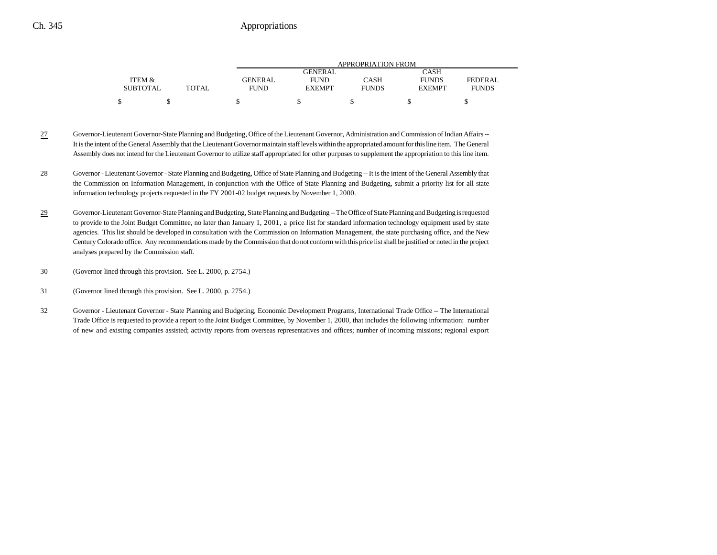|                 |       |         | APPROPRIATION FROM |              |               |              |  |  |  |
|-----------------|-------|---------|--------------------|--------------|---------------|--------------|--|--|--|
|                 |       |         | GENERAL            |              | CASH          |              |  |  |  |
| ITEM &          |       | GENERAL | <b>FUND</b>        | CASH         | <b>FUNDS</b>  | FEDERAL      |  |  |  |
| <b>SUBTOTAL</b> | TOTAL | FUND    | <b>EXEMPT</b>      | <b>FUNDS</b> | <b>EXEMPT</b> | <b>FUNDS</b> |  |  |  |
|                 |       |         |                    |              |               |              |  |  |  |

- 27 Governor-Lieutenant Governor-State Planning and Budgeting, Office of the Lieutenant Governor, Administration and Commission of Indian Affairs -- It is the intent of the General Assembly that the Lieutenant Governor maintain staff levels within the appropriated amount for this line item. The General Assembly does not intend for the Lieutenant Governor to utilize staff appropriated for other purposes to supplement the appropriation to this line item.
- 28 Governor Lieutenant Governor State Planning and Budgeting, Office of State Planning and Budgeting -- It is the intent of the General Assembly that the Commission on Information Management, in conjunction with the Office of State Planning and Budgeting, submit a priority list for all state information technology projects requested in the FY 2001-02 budget requests by November 1, 2000.
- 29 Governor-Lieutenant Governor-State Planning and Budgeting, State Planning and Budgeting -- The Office of State Planning and Budgeting is requested to provide to the Joint Budget Committee, no later than January 1, 2001, a price list for standard information technology equipment used by state agencies. This list should be developed in consultation with the Commission on Information Management, the state purchasing office, and the New Century Colorado office. Any recommendations made by the Commission that do not conform with this price list shall be justified or noted in the project analyses prepared by the Commission staff.
- 30 (Governor lined through this provision. See L. 2000, p. 2754.)
- 31 (Governor lined through this provision. See L. 2000, p. 2754.)
- 32 Governor Lieutenant Governor State Planning and Budgeting, Economic Development Programs, International Trade Office -- The International Trade Office is requested to provide a report to the Joint Budget Committee, by November 1, 2000, that includes the following information: number of new and existing companies assisted; activity reports from overseas representatives and offices; number of incoming missions; regional export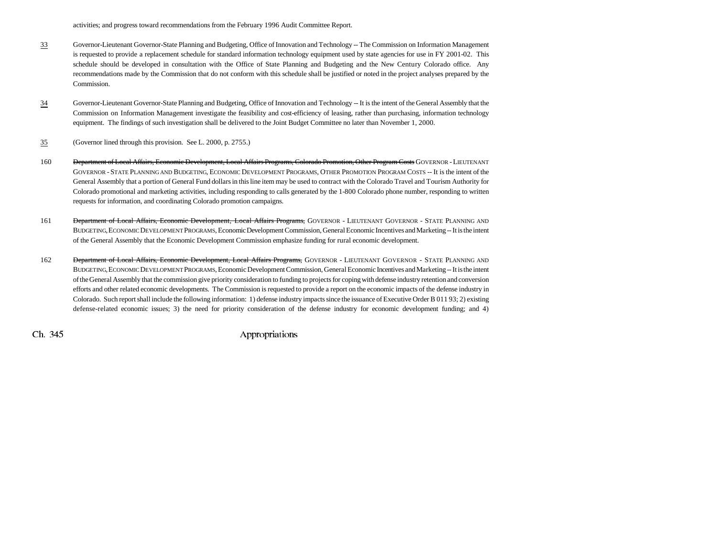activities; and progress toward recommendations from the February 1996 Audit Committee Report.

- 33 Governor-Lieutenant Governor-State Planning and Budgeting, Office of Innovation and Technology -- The Commission on Information Management is requested to provide a replacement schedule for standard information technology equipment used by state agencies for use in FY 2001-02. This schedule should be developed in consultation with the Office of State Planning and Budgeting and the New Century Colorado office. Any recommendations made by the Commission that do not conform with this schedule shall be justified or noted in the project analyses prepared by the Commission.
- 34 Governor-Lieutenant Governor-State Planning and Budgeting, Office of Innovation and Technology -- It is the intent of the General Assembly that the Commission on Information Management investigate the feasibility and cost-efficiency of leasing, rather than purchasing, information technology equipment. The findings of such investigation shall be delivered to the Joint Budget Committee no later than November 1, 2000.
- 35(Governor lined through this provision. See L. 2000, p. 2755.)
- 160 Department of Local Affairs, Economic Development, Local Affairs Programs, Colorado Promotion, Other Program Costs GOVERNOR LIEUTENANT GOVERNOR - STATE PLANNING AND BUDGETING, ECONOMIC DEVELOPMENT PROGRAMS, OTHER PROMOTION PROGRAM COSTS -- It is the intent of the General Assembly that a portion of General Fund dollars in this line item may be used to contract with the Colorado Travel and Tourism Authority for Colorado promotional and marketing activities, including responding to calls generated by the 1-800 Colorado phone number, responding to written requests for information, and coordinating Colorado promotion campaigns.
- 161 <del>Department of Local Affairs, Economic Development, Local Affairs Programs,</del> GOVERNOR LIEUTENANT GOVERNOR STATE PLANNING AND BUDGETING,ECONOMIC DEVELOPMENT PROGRAMS, Economic Development Commission, General Economic Incentives and Marketing -- It is the intent of the General Assembly that the Economic Development Commission emphasize funding for rural economic development.
- 162 <del>Department of Local Affairs, Economic Development, Local Affairs Programs,</del> GOVERNOR LIEUTENANT GOVERNOR STATE PLANNING AND BUDGETING,ECONOMIC DEVELOPMENT PROGRAMS, Economic Development Commission, General Economic Incentives and Marketing -- It is the intent of the General Assembly that the commission give priority consideration to funding to projects for coping with defense industry retention and conversion efforts and other related economic developments. The Commission is requested to provide a report on the economic impacts of the defense industry in Colorado. Such report shall include the following information: 1) defense industry impacts since the issuance of Executive Order B 011 93; 2) existing defense-related economic issues; 3) the need for priority consideration of the defense industry for economic development funding; and 4)